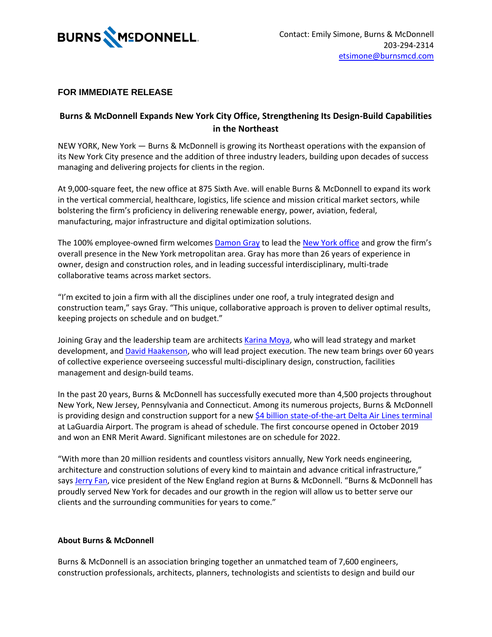

## **FOR IMMEDIATE RELEASE**

## **Burns & McDonnell Expands New York City Office, Strengthening Its Design-Build Capabilities in the Northeast**

NEW YORK, New York — Burns & McDonnell is growing its Northeast operations with the expansion of its New York City presence and the addition of three industry leaders, building upon decades of success managing and delivering projects for clients in the region.

At 9,000-square feet, the new office at 875 Sixth Ave. will enable Burns & McDonnell to expand its work in the vertical commercial, healthcare, logistics, life science and mission critical market sectors, while bolstering the firm's proficiency in delivering renewable energy, power, aviation, federal, manufacturing, major infrastructure and digital optimization solutions.

The 100% employee-owned firm welcomes **Damon Gray** to lead th[e New York office](https://hubs.li/Q0101yDx0) and grow the firm's overall presence in the New York metropolitan area. Gray has more than 26 years of experience in owner, design and construction roles, and in leading successful interdisciplinary, multi-trade collaborative teams across market sectors.

"I'm excited to join a firm with all the disciplines under one roof, a truly integrated design and construction team," says Gray. "This unique, collaborative approach is proven to deliver optimal results, keeping projects on schedule and on budget."

Joining Gray and the leadership team are architects [Karina Moya,](https://www.linkedin.com/in/karinamoya/) who will lead strategy and market development, and **David Haakenson**, who will lead project execution. The new team brings over 60 years of collective experience overseeing successful multi-disciplinary design, construction, facilities management and design-build teams.

In the past 20 years, Burns & McDonnell has successfully executed more than 4,500 projects throughout New York, New Jersey, Pennsylvania and Connecticut. Among its numerous projects, Burns & McDonnell is providing design and construction support for a new [\\$4 billion state-of-the-art Delta Air Lines terminal](https://hubs.li/Q0101y_40) at LaGuardia Airport. The program is ahead of schedule. The first concourse opened in October 2019 and won an ENR Merit Award. Significant milestones are on schedule for 2022.

"With more than 20 million residents and countless visitors annually, New York needs engineering, architecture and construction solutions of every kind to maintain and advance critical infrastructure," says [Jerry Fan](https://www.linkedin.com/in/jerryfan2/), vice president of the New England region at Burns & McDonnell. "Burns & McDonnell has proudly served New York for decades and our growth in the region will allow us to better serve our clients and the surrounding communities for years to come."

## **About Burns & McDonnell**

Burns & McDonnell is an association bringing together an unmatched team of 7,600 engineers, construction professionals, architects, planners, technologists and scientists to design and build our